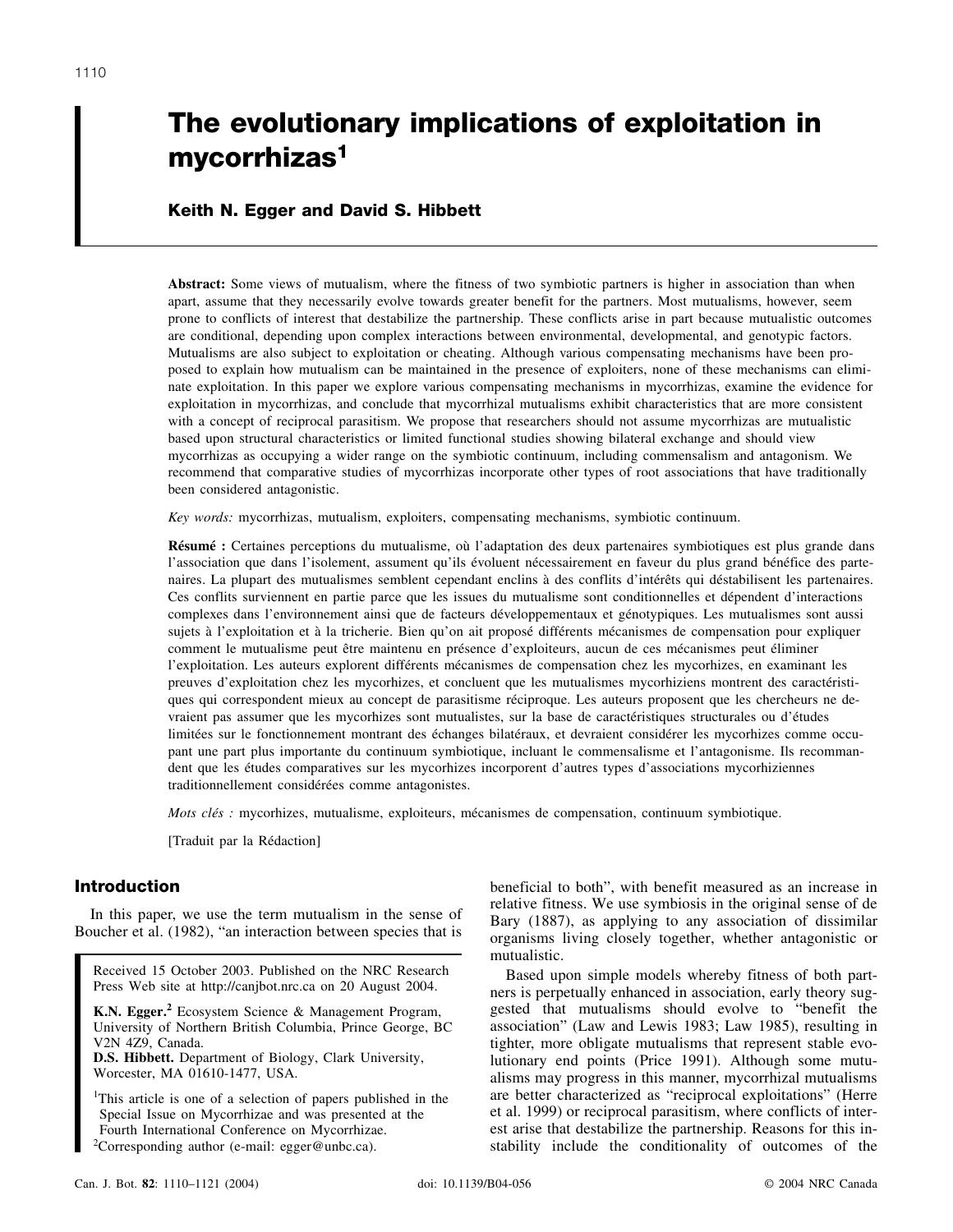# **The evolutionary implications of exploitation in mycorrhizas1**

# **Keith N. Egger and David S. Hibbett**

**Abstract:** Some views of mutualism, where the fitness of two symbiotic partners is higher in association than when apart, assume that they necessarily evolve towards greater benefit for the partners. Most mutualisms, however, seem prone to conflicts of interest that destabilize the partnership. These conflicts arise in part because mutualistic outcomes are conditional, depending upon complex interactions between environmental, developmental, and genotypic factors. Mutualisms are also subject to exploitation or cheating. Although various compensating mechanisms have been proposed to explain how mutualism can be maintained in the presence of exploiters, none of these mechanisms can eliminate exploitation. In this paper we explore various compensating mechanisms in mycorrhizas, examine the evidence for exploitation in mycorrhizas, and conclude that mycorrhizal mutualisms exhibit characteristics that are more consistent with a concept of reciprocal parasitism. We propose that researchers should not assume mycorrhizas are mutualistic based upon structural characteristics or limited functional studies showing bilateral exchange and should view mycorrhizas as occupying a wider range on the symbiotic continuum, including commensalism and antagonism. We recommend that comparative studies of mycorrhizas incorporate other types of root associations that have traditionally been considered antagonistic.

*Key words:* mycorrhizas, mutualism, exploiters, compensating mechanisms, symbiotic continuum.

**Résumé :** Certaines perceptions du mutualisme, où l'adaptation des deux partenaires symbiotiques est plus grande dans l'association que dans l'isolement, assument qu'ils évoluent nécessairement en faveur du plus grand bénéfice des partenaires. La plupart des mutualismes semblent cependant enclins à des conflits d'intérêts qui déstabilisent les partenaires. Ces conflits surviennent en partie parce que les issues du mutualisme sont conditionnelles et dépendent d'interactions complexes dans l'environnement ainsi que de facteurs développementaux et génotypiques. Les mutualismes sont aussi sujets à l'exploitation et à la tricherie. Bien qu'on ait proposé différents mécanismes de compensation pour expliquer comment le mutualisme peut être maintenu en présence d'exploiteurs, aucun de ces mécanismes peut éliminer l'exploitation. Les auteurs explorent différents mécanismes de compensation chez les mycorhizes, en examinant les preuves d'exploitation chez les mycorhizes, et concluent que les mutualismes mycorhiziens montrent des caractéristiques qui correspondent mieux au concept de parasitisme réciproque. Les auteurs proposent que les chercheurs ne devraient pas assumer que les mycorhizes sont mutualistes, sur la base de caractéristiques structurales ou d'études limitées sur le fonctionnement montrant des échanges bilatéraux, et devraient considérer les mycorhizes comme occupant une part plus importante du continuum symbiotique, incluant le commensalisme et l'antagonisme. Ils recommandent que les études comparatives sur les mycorhizes incorporent d'autres types d'associations mycorhiziennes traditionnellement considérées comme antagonistes.

*Mots clés :* mycorhizes, mutualisme, exploiteurs, mécanismes de compensation, continuum symbiotique.

[Traduit par la Rédaction]

## **Introduction**

In this paper, we use the term mutualism in the sense of Boucher et al. (1982), "an interaction between species that is

Received 15 October 2003. Published on the NRC Research Press Web site at http://canjbot.nrc.ca on 20 August 2004.

**K.N. Egger.<sup>2</sup>** Ecosystem Science & Management Program, University of Northern British Columbia, Prince George, BC V2N 4Z9, Canada.

**D.S. Hibbett.** Department of Biology, Clark University, Worcester, MA 01610-1477, USA.

<sup>1</sup>This article is one of a selection of papers published in the Special Issue on Mycorrhizae and was presented at the Fourth International Conference on Mycorrhizae.

<sup>2</sup>Corresponding author (e-mail: egger@unbc.ca).

beneficial to both", with benefit measured as an increase in relative fitness. We use symbiosis in the original sense of de Bary (1887), as applying to any association of dissimilar organisms living closely together, whether antagonistic or mutualistic.

Based upon simple models whereby fitness of both partners is perpetually enhanced in association, early theory suggested that mutualisms should evolve to "benefit the association" (Law and Lewis 1983; Law 1985), resulting in tighter, more obligate mutualisms that represent stable evolutionary end points (Price 1991). Although some mutualisms may progress in this manner, mycorrhizal mutualisms are better characterized as "reciprocal exploitations" (Herre et al. 1999) or reciprocal parasitism, where conflicts of interest arise that destabilize the partnership. Reasons for this instability include the conditionality of outcomes of the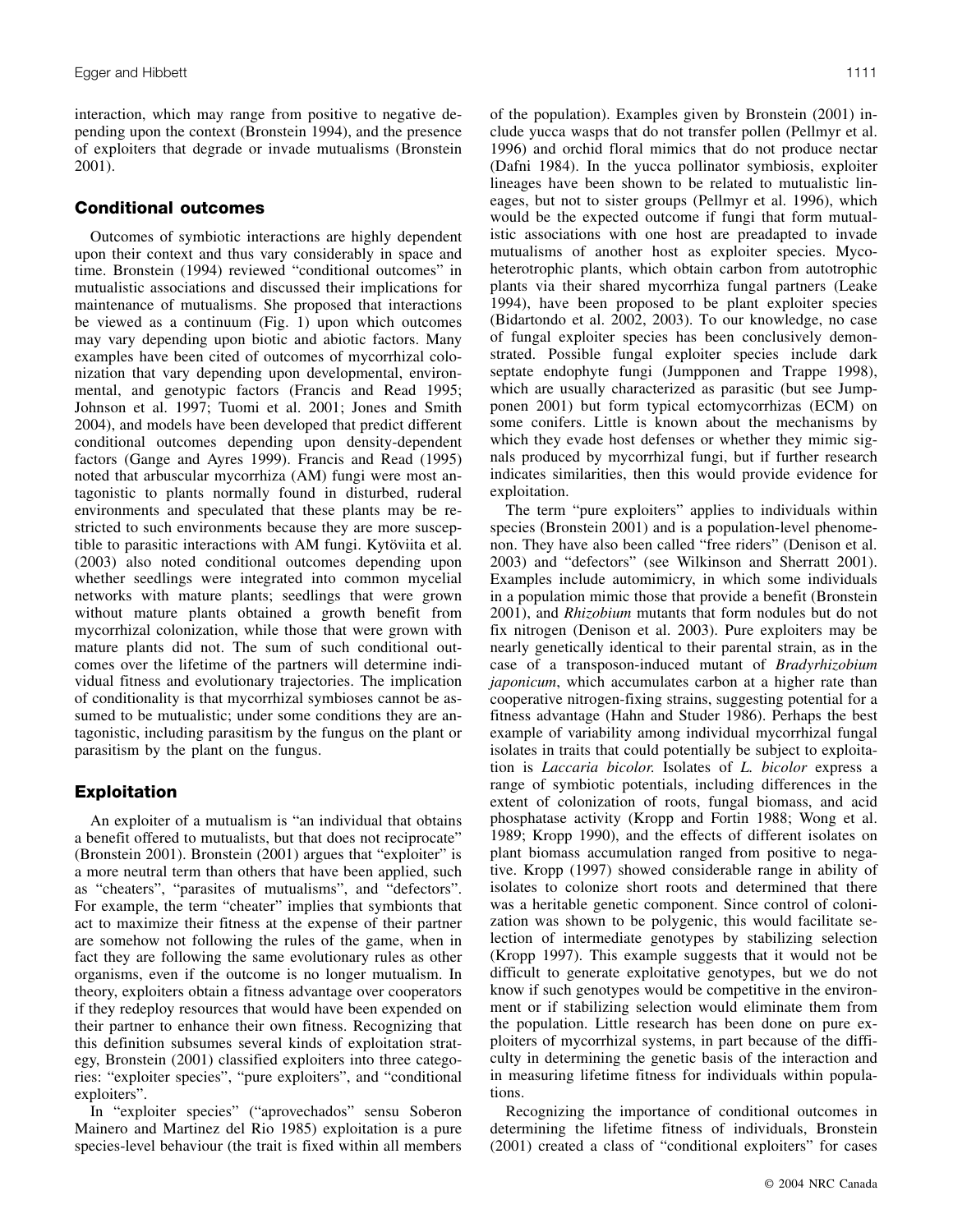interaction, which may range from positive to negative depending upon the context (Bronstein 1994), and the presence of exploiters that degrade or invade mutualisms (Bronstein 2001).

## **Conditional outcomes**

Outcomes of symbiotic interactions are highly dependent upon their context and thus vary considerably in space and time. Bronstein (1994) reviewed "conditional outcomes" in mutualistic associations and discussed their implications for maintenance of mutualisms. She proposed that interactions be viewed as a continuum (Fig. 1) upon which outcomes may vary depending upon biotic and abiotic factors. Many examples have been cited of outcomes of mycorrhizal colonization that vary depending upon developmental, environmental, and genotypic factors (Francis and Read 1995; Johnson et al. 1997; Tuomi et al. 2001; Jones and Smith 2004), and models have been developed that predict different conditional outcomes depending upon density-dependent factors (Gange and Ayres 1999). Francis and Read (1995) noted that arbuscular mycorrhiza (AM) fungi were most antagonistic to plants normally found in disturbed, ruderal environments and speculated that these plants may be restricted to such environments because they are more susceptible to parasitic interactions with AM fungi. Kytöviita et al. (2003) also noted conditional outcomes depending upon whether seedlings were integrated into common mycelial networks with mature plants; seedlings that were grown without mature plants obtained a growth benefit from mycorrhizal colonization, while those that were grown with mature plants did not. The sum of such conditional outcomes over the lifetime of the partners will determine individual fitness and evolutionary trajectories. The implication of conditionality is that mycorrhizal symbioses cannot be assumed to be mutualistic; under some conditions they are antagonistic, including parasitism by the fungus on the plant or parasitism by the plant on the fungus.

# **Exploitation**

An exploiter of a mutualism is "an individual that obtains a benefit offered to mutualists, but that does not reciprocate" (Bronstein 2001). Bronstein (2001) argues that "exploiter" is a more neutral term than others that have been applied, such as "cheaters", "parasites of mutualisms", and "defectors". For example, the term "cheater" implies that symbionts that act to maximize their fitness at the expense of their partner are somehow not following the rules of the game, when in fact they are following the same evolutionary rules as other organisms, even if the outcome is no longer mutualism. In theory, exploiters obtain a fitness advantage over cooperators if they redeploy resources that would have been expended on their partner to enhance their own fitness. Recognizing that this definition subsumes several kinds of exploitation strategy, Bronstein (2001) classified exploiters into three categories: "exploiter species", "pure exploiters", and "conditional exploiters".

In "exploiter species" ("aprovechados" sensu Soberon Mainero and Martinez del Rio 1985) exploitation is a pure species-level behaviour (the trait is fixed within all members of the population). Examples given by Bronstein (2001) include yucca wasps that do not transfer pollen (Pellmyr et al. 1996) and orchid floral mimics that do not produce nectar (Dafni 1984). In the yucca pollinator symbiosis, exploiter lineages have been shown to be related to mutualistic lineages, but not to sister groups (Pellmyr et al. 1996), which would be the expected outcome if fungi that form mutualistic associations with one host are preadapted to invade mutualisms of another host as exploiter species. Mycoheterotrophic plants, which obtain carbon from autotrophic plants via their shared mycorrhiza fungal partners (Leake 1994), have been proposed to be plant exploiter species (Bidartondo et al. 2002, 2003). To our knowledge, no case of fungal exploiter species has been conclusively demonstrated. Possible fungal exploiter species include dark septate endophyte fungi (Jumpponen and Trappe 1998), which are usually characterized as parasitic (but see Jumpponen 2001) but form typical ectomycorrhizas (ECM) on some conifers. Little is known about the mechanisms by which they evade host defenses or whether they mimic signals produced by mycorrhizal fungi, but if further research indicates similarities, then this would provide evidence for exploitation.

The term "pure exploiters" applies to individuals within species (Bronstein 2001) and is a population-level phenomenon. They have also been called "free riders" (Denison et al. 2003) and "defectors" (see Wilkinson and Sherratt 2001). Examples include automimicry, in which some individuals in a population mimic those that provide a benefit (Bronstein 2001), and *Rhizobium* mutants that form nodules but do not fix nitrogen (Denison et al. 2003). Pure exploiters may be nearly genetically identical to their parental strain, as in the case of a transposon-induced mutant of *Bradyrhizobium japonicum*, which accumulates carbon at a higher rate than cooperative nitrogen-fixing strains, suggesting potential for a fitness advantage (Hahn and Studer 1986). Perhaps the best example of variability among individual mycorrhizal fungal isolates in traits that could potentially be subject to exploitation is *Laccaria bicolor*. Isolates of *L. bicolor* express a range of symbiotic potentials, including differences in the extent of colonization of roots, fungal biomass, and acid phosphatase activity (Kropp and Fortin 1988; Wong et al. 1989; Kropp 1990), and the effects of different isolates on plant biomass accumulation ranged from positive to negative. Kropp (1997) showed considerable range in ability of isolates to colonize short roots and determined that there was a heritable genetic component. Since control of colonization was shown to be polygenic, this would facilitate selection of intermediate genotypes by stabilizing selection (Kropp 1997). This example suggests that it would not be difficult to generate exploitative genotypes, but we do not know if such genotypes would be competitive in the environment or if stabilizing selection would eliminate them from the population. Little research has been done on pure exploiters of mycorrhizal systems, in part because of the difficulty in determining the genetic basis of the interaction and in measuring lifetime fitness for individuals within populations.

Recognizing the importance of conditional outcomes in determining the lifetime fitness of individuals, Bronstein (2001) created a class of "conditional exploiters" for cases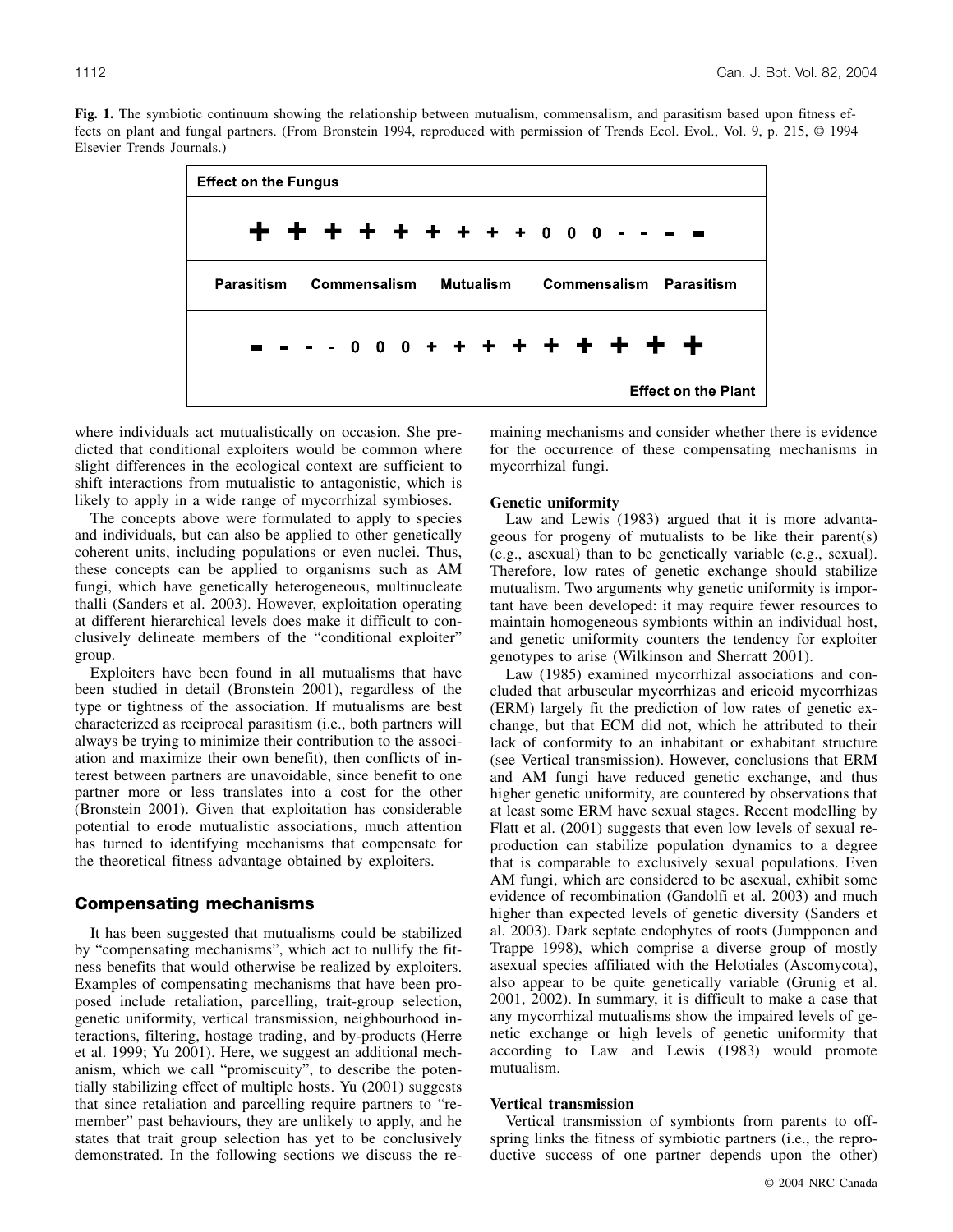**Fig. 1.** The symbiotic continuum showing the relationship between mutualism, commensalism, and parasitism based upon fitness effects on plant and fungal partners. (From Bronstein 1994, reproduced with permission of Trends Ecol. Evol., Vol. 9, p. 215, © 1994 Elsevier Trends Journals.)



where individuals act mutualistically on occasion. She predicted that conditional exploiters would be common where slight differences in the ecological context are sufficient to shift interactions from mutualistic to antagonistic, which is likely to apply in a wide range of mycorrhizal symbioses.

The concepts above were formulated to apply to species and individuals, but can also be applied to other genetically coherent units, including populations or even nuclei. Thus, these concepts can be applied to organisms such as AM fungi, which have genetically heterogeneous, multinucleate thalli (Sanders et al. 2003). However, exploitation operating at different hierarchical levels does make it difficult to conclusively delineate members of the "conditional exploiter" group.

Exploiters have been found in all mutualisms that have been studied in detail (Bronstein 2001), regardless of the type or tightness of the association. If mutualisms are best characterized as reciprocal parasitism (i.e., both partners will always be trying to minimize their contribution to the association and maximize their own benefit), then conflicts of interest between partners are unavoidable, since benefit to one partner more or less translates into a cost for the other (Bronstein 2001). Given that exploitation has considerable potential to erode mutualistic associations, much attention has turned to identifying mechanisms that compensate for the theoretical fitness advantage obtained by exploiters.

## **Compensating mechanisms**

It has been suggested that mutualisms could be stabilized by "compensating mechanisms", which act to nullify the fitness benefits that would otherwise be realized by exploiters. Examples of compensating mechanisms that have been proposed include retaliation, parcelling, trait-group selection, genetic uniformity, vertical transmission, neighbourhood interactions, filtering, hostage trading, and by-products (Herre et al. 1999; Yu 2001). Here, we suggest an additional mechanism, which we call "promiscuity", to describe the potentially stabilizing effect of multiple hosts. Yu (2001) suggests that since retaliation and parcelling require partners to "remember" past behaviours, they are unlikely to apply, and he states that trait group selection has yet to be conclusively demonstrated. In the following sections we discuss the remaining mechanisms and consider whether there is evidence for the occurrence of these compensating mechanisms in mycorrhizal fungi.

## **Genetic uniformity**

Law and Lewis (1983) argued that it is more advantageous for progeny of mutualists to be like their parent(s) (e.g., asexual) than to be genetically variable (e.g., sexual). Therefore, low rates of genetic exchange should stabilize mutualism. Two arguments why genetic uniformity is important have been developed: it may require fewer resources to maintain homogeneous symbionts within an individual host, and genetic uniformity counters the tendency for exploiter genotypes to arise (Wilkinson and Sherratt 2001).

Law (1985) examined mycorrhizal associations and concluded that arbuscular mycorrhizas and ericoid mycorrhizas (ERM) largely fit the prediction of low rates of genetic exchange, but that ECM did not, which he attributed to their lack of conformity to an inhabitant or exhabitant structure (see Vertical transmission). However, conclusions that ERM and AM fungi have reduced genetic exchange, and thus higher genetic uniformity, are countered by observations that at least some ERM have sexual stages. Recent modelling by Flatt et al. (2001) suggests that even low levels of sexual reproduction can stabilize population dynamics to a degree that is comparable to exclusively sexual populations. Even AM fungi, which are considered to be asexual, exhibit some evidence of recombination (Gandolfi et al. 2003) and much higher than expected levels of genetic diversity (Sanders et al. 2003). Dark septate endophytes of roots (Jumpponen and Trappe 1998), which comprise a diverse group of mostly asexual species affiliated with the Helotiales (Ascomycota), also appear to be quite genetically variable (Grunig et al. 2001, 2002). In summary, it is difficult to make a case that any mycorrhizal mutualisms show the impaired levels of genetic exchange or high levels of genetic uniformity that according to Law and Lewis (1983) would promote mutualism.

#### **Vertical transmission**

Vertical transmission of symbionts from parents to offspring links the fitness of symbiotic partners (i.e., the reproductive success of one partner depends upon the other)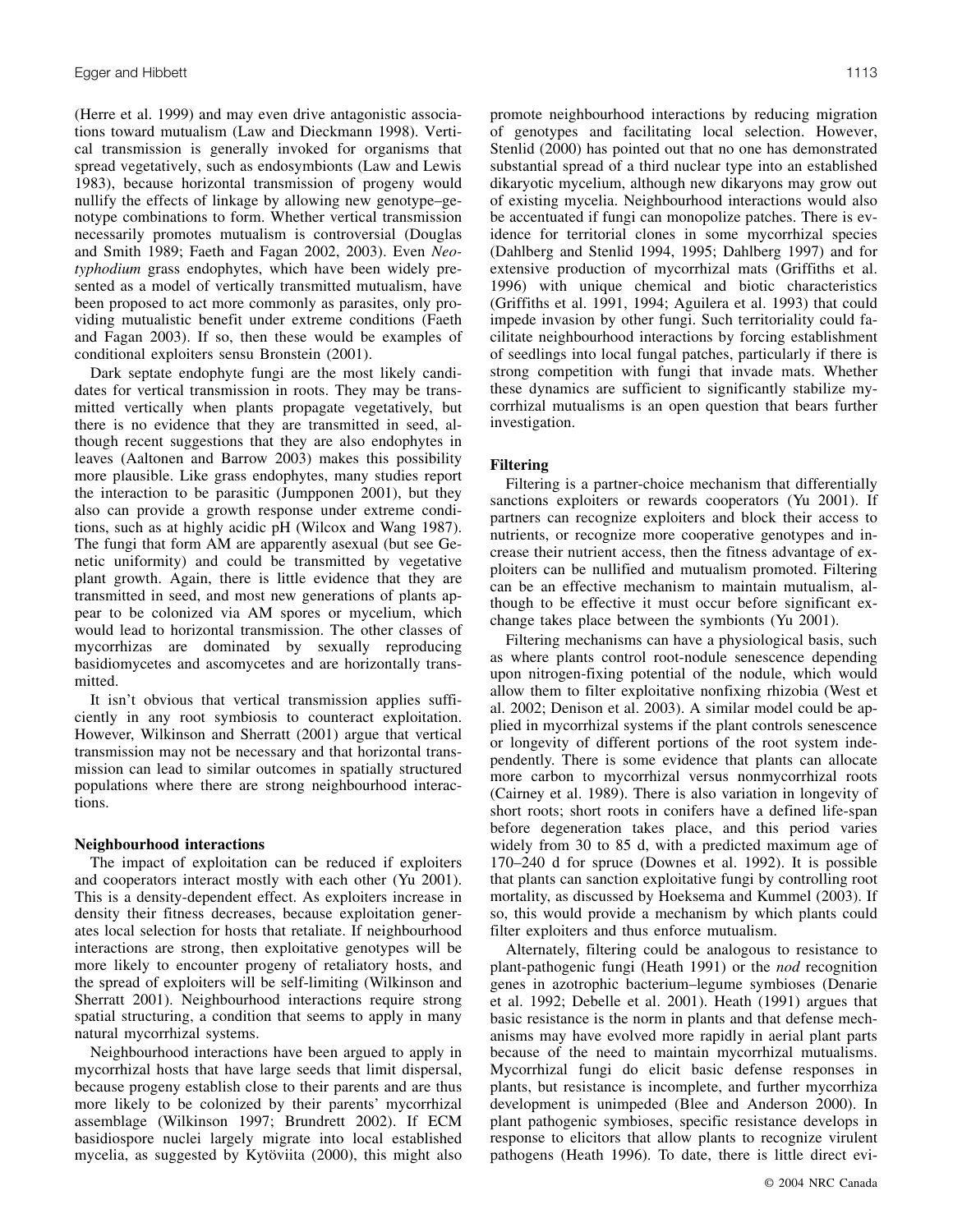(Herre et al. 1999) and may even drive antagonistic associations toward mutualism (Law and Dieckmann 1998). Vertical transmission is generally invoked for organisms that spread vegetatively, such as endosymbionts (Law and Lewis 1983), because horizontal transmission of progeny would nullify the effects of linkage by allowing new genotype–genotype combinations to form. Whether vertical transmission necessarily promotes mutualism is controversial (Douglas and Smith 1989; Faeth and Fagan 2002, 2003). Even *Neotyphodium* grass endophytes, which have been widely presented as a model of vertically transmitted mutualism, have been proposed to act more commonly as parasites, only providing mutualistic benefit under extreme conditions (Faeth and Fagan 2003). If so, then these would be examples of conditional exploiters sensu Bronstein (2001).

Dark septate endophyte fungi are the most likely candidates for vertical transmission in roots. They may be transmitted vertically when plants propagate vegetatively, but there is no evidence that they are transmitted in seed, although recent suggestions that they are also endophytes in leaves (Aaltonen and Barrow 2003) makes this possibility more plausible. Like grass endophytes, many studies report the interaction to be parasitic (Jumpponen 2001), but they also can provide a growth response under extreme conditions, such as at highly acidic pH (Wilcox and Wang 1987). The fungi that form AM are apparently asexual (but see Genetic uniformity) and could be transmitted by vegetative plant growth. Again, there is little evidence that they are transmitted in seed, and most new generations of plants appear to be colonized via AM spores or mycelium, which would lead to horizontal transmission. The other classes of mycorrhizas are dominated by sexually reproducing basidiomycetes and ascomycetes and are horizontally transmitted.

It isn't obvious that vertical transmission applies sufficiently in any root symbiosis to counteract exploitation. However, Wilkinson and Sherratt (2001) argue that vertical transmission may not be necessary and that horizontal transmission can lead to similar outcomes in spatially structured populations where there are strong neighbourhood interactions.

#### **Neighbourhood interactions**

The impact of exploitation can be reduced if exploiters and cooperators interact mostly with each other (Yu 2001). This is a density-dependent effect. As exploiters increase in density their fitness decreases, because exploitation generates local selection for hosts that retaliate. If neighbourhood interactions are strong, then exploitative genotypes will be more likely to encounter progeny of retaliatory hosts, and the spread of exploiters will be self-limiting (Wilkinson and Sherratt 2001). Neighbourhood interactions require strong spatial structuring, a condition that seems to apply in many natural mycorrhizal systems.

Neighbourhood interactions have been argued to apply in mycorrhizal hosts that have large seeds that limit dispersal, because progeny establish close to their parents and are thus more likely to be colonized by their parents' mycorrhizal assemblage (Wilkinson 1997; Brundrett 2002). If ECM basidiospore nuclei largely migrate into local established mycelia, as suggested by Kytöviita (2000), this might also promote neighbourhood interactions by reducing migration of genotypes and facilitating local selection. However, Stenlid (2000) has pointed out that no one has demonstrated substantial spread of a third nuclear type into an established dikaryotic mycelium, although new dikaryons may grow out of existing mycelia. Neighbourhood interactions would also be accentuated if fungi can monopolize patches. There is evidence for territorial clones in some mycorrhizal species (Dahlberg and Stenlid 1994, 1995; Dahlberg 1997) and for extensive production of mycorrhizal mats (Griffiths et al. 1996) with unique chemical and biotic characteristics (Griffiths et al. 1991, 1994; Aguilera et al. 1993) that could impede invasion by other fungi. Such territoriality could facilitate neighbourhood interactions by forcing establishment of seedlings into local fungal patches, particularly if there is strong competition with fungi that invade mats. Whether these dynamics are sufficient to significantly stabilize mycorrhizal mutualisms is an open question that bears further investigation.

#### **Filtering**

Filtering is a partner-choice mechanism that differentially sanctions exploiters or rewards cooperators (Yu 2001). If partners can recognize exploiters and block their access to nutrients, or recognize more cooperative genotypes and increase their nutrient access, then the fitness advantage of exploiters can be nullified and mutualism promoted. Filtering can be an effective mechanism to maintain mutualism, although to be effective it must occur before significant exchange takes place between the symbionts (Yu 2001).

Filtering mechanisms can have a physiological basis, such as where plants control root-nodule senescence depending upon nitrogen-fixing potential of the nodule, which would allow them to filter exploitative nonfixing rhizobia (West et al. 2002; Denison et al. 2003). A similar model could be applied in mycorrhizal systems if the plant controls senescence or longevity of different portions of the root system independently. There is some evidence that plants can allocate more carbon to mycorrhizal versus nonmycorrhizal roots (Cairney et al. 1989). There is also variation in longevity of short roots; short roots in conifers have a defined life-span before degeneration takes place, and this period varies widely from 30 to 85 d, with a predicted maximum age of 170–240 d for spruce (Downes et al. 1992). It is possible that plants can sanction exploitative fungi by controlling root mortality, as discussed by Hoeksema and Kummel (2003). If so, this would provide a mechanism by which plants could filter exploiters and thus enforce mutualism.

Alternately, filtering could be analogous to resistance to plant-pathogenic fungi (Heath 1991) or the *nod* recognition genes in azotrophic bacterium–legume symbioses (Denarie et al. 1992; Debelle et al. 2001). Heath (1991) argues that basic resistance is the norm in plants and that defense mechanisms may have evolved more rapidly in aerial plant parts because of the need to maintain mycorrhizal mutualisms. Mycorrhizal fungi do elicit basic defense responses in plants, but resistance is incomplete, and further mycorrhiza development is unimpeded (Blee and Anderson 2000). In plant pathogenic symbioses, specific resistance develops in response to elicitors that allow plants to recognize virulent pathogens (Heath 1996). To date, there is little direct evi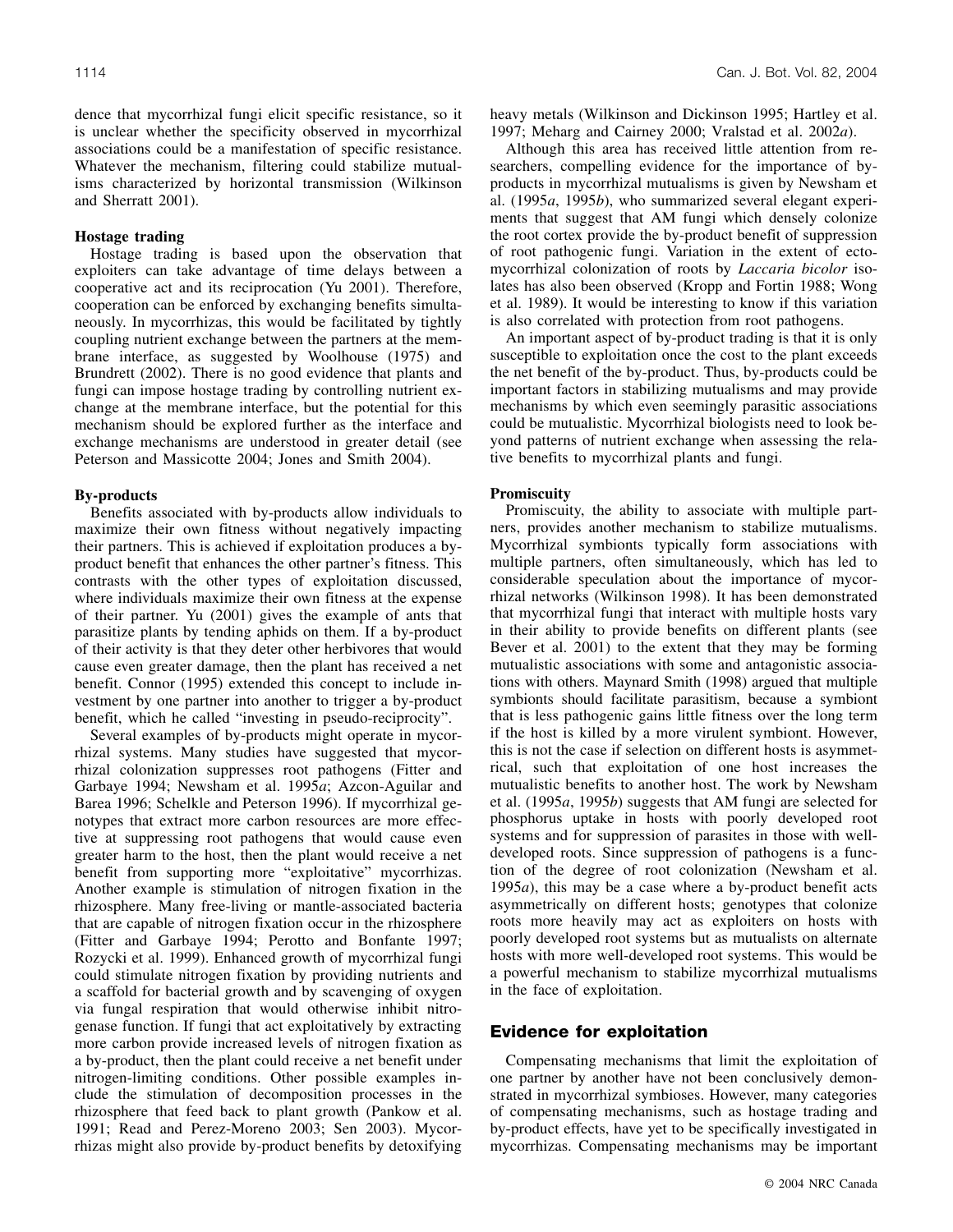dence that mycorrhizal fungi elicit specific resistance, so it is unclear whether the specificity observed in mycorrhizal associations could be a manifestation of specific resistance. Whatever the mechanism, filtering could stabilize mutualisms characterized by horizontal transmission (Wilkinson and Sherratt 2001).

#### **Hostage trading**

Hostage trading is based upon the observation that exploiters can take advantage of time delays between a cooperative act and its reciprocation (Yu 2001). Therefore, cooperation can be enforced by exchanging benefits simultaneously. In mycorrhizas, this would be facilitated by tightly coupling nutrient exchange between the partners at the membrane interface, as suggested by Woolhouse (1975) and Brundrett (2002). There is no good evidence that plants and fungi can impose hostage trading by controlling nutrient exchange at the membrane interface, but the potential for this mechanism should be explored further as the interface and exchange mechanisms are understood in greater detail (see Peterson and Massicotte 2004; Jones and Smith 2004).

#### **By-products**

Benefits associated with by-products allow individuals to maximize their own fitness without negatively impacting their partners. This is achieved if exploitation produces a byproduct benefit that enhances the other partner's fitness. This contrasts with the other types of exploitation discussed, where individuals maximize their own fitness at the expense of their partner. Yu (2001) gives the example of ants that parasitize plants by tending aphids on them. If a by-product of their activity is that they deter other herbivores that would cause even greater damage, then the plant has received a net benefit. Connor (1995) extended this concept to include investment by one partner into another to trigger a by-product benefit, which he called "investing in pseudo-reciprocity".

Several examples of by-products might operate in mycorrhizal systems. Many studies have suggested that mycorrhizal colonization suppresses root pathogens (Fitter and Garbaye 1994; Newsham et al. 1995*a*; Azcon-Aguilar and Barea 1996; Schelkle and Peterson 1996). If mycorrhizal genotypes that extract more carbon resources are more effective at suppressing root pathogens that would cause even greater harm to the host, then the plant would receive a net benefit from supporting more "exploitative" mycorrhizas. Another example is stimulation of nitrogen fixation in the rhizosphere. Many free-living or mantle-associated bacteria that are capable of nitrogen fixation occur in the rhizosphere (Fitter and Garbaye 1994; Perotto and Bonfante 1997; Rozycki et al. 1999). Enhanced growth of mycorrhizal fungi could stimulate nitrogen fixation by providing nutrients and a scaffold for bacterial growth and by scavenging of oxygen via fungal respiration that would otherwise inhibit nitrogenase function. If fungi that act exploitatively by extracting more carbon provide increased levels of nitrogen fixation as a by-product, then the plant could receive a net benefit under nitrogen-limiting conditions. Other possible examples include the stimulation of decomposition processes in the rhizosphere that feed back to plant growth (Pankow et al. 1991; Read and Perez-Moreno 2003; Sen 2003). Mycorrhizas might also provide by-product benefits by detoxifying heavy metals (Wilkinson and Dickinson 1995; Hartley et al. 1997; Meharg and Cairney 2000; Vralstad et al. 2002*a*).

Although this area has received little attention from researchers, compelling evidence for the importance of byproducts in mycorrhizal mutualisms is given by Newsham et al. (1995*a*, 1995*b*), who summarized several elegant experiments that suggest that AM fungi which densely colonize the root cortex provide the by-product benefit of suppression of root pathogenic fungi. Variation in the extent of ectomycorrhizal colonization of roots by *Laccaria bicolor* isolates has also been observed (Kropp and Fortin 1988; Wong et al. 1989). It would be interesting to know if this variation is also correlated with protection from root pathogens.

An important aspect of by-product trading is that it is only susceptible to exploitation once the cost to the plant exceeds the net benefit of the by-product. Thus, by-products could be important factors in stabilizing mutualisms and may provide mechanisms by which even seemingly parasitic associations could be mutualistic. Mycorrhizal biologists need to look beyond patterns of nutrient exchange when assessing the relative benefits to mycorrhizal plants and fungi.

#### **Promiscuity**

Promiscuity, the ability to associate with multiple partners, provides another mechanism to stabilize mutualisms. Mycorrhizal symbionts typically form associations with multiple partners, often simultaneously, which has led to considerable speculation about the importance of mycorrhizal networks (Wilkinson 1998). It has been demonstrated that mycorrhizal fungi that interact with multiple hosts vary in their ability to provide benefits on different plants (see Bever et al. 2001) to the extent that they may be forming mutualistic associations with some and antagonistic associations with others. Maynard Smith (1998) argued that multiple symbionts should facilitate parasitism, because a symbiont that is less pathogenic gains little fitness over the long term if the host is killed by a more virulent symbiont. However, this is not the case if selection on different hosts is asymmetrical, such that exploitation of one host increases the mutualistic benefits to another host. The work by Newsham et al. (1995*a*, 1995*b*) suggests that AM fungi are selected for phosphorus uptake in hosts with poorly developed root systems and for suppression of parasites in those with welldeveloped roots. Since suppression of pathogens is a function of the degree of root colonization (Newsham et al. 1995*a*), this may be a case where a by-product benefit acts asymmetrically on different hosts; genotypes that colonize roots more heavily may act as exploiters on hosts with poorly developed root systems but as mutualists on alternate hosts with more well-developed root systems. This would be a powerful mechanism to stabilize mycorrhizal mutualisms in the face of exploitation.

# **Evidence for exploitation**

Compensating mechanisms that limit the exploitation of one partner by another have not been conclusively demonstrated in mycorrhizal symbioses. However, many categories of compensating mechanisms, such as hostage trading and by-product effects, have yet to be specifically investigated in mycorrhizas. Compensating mechanisms may be important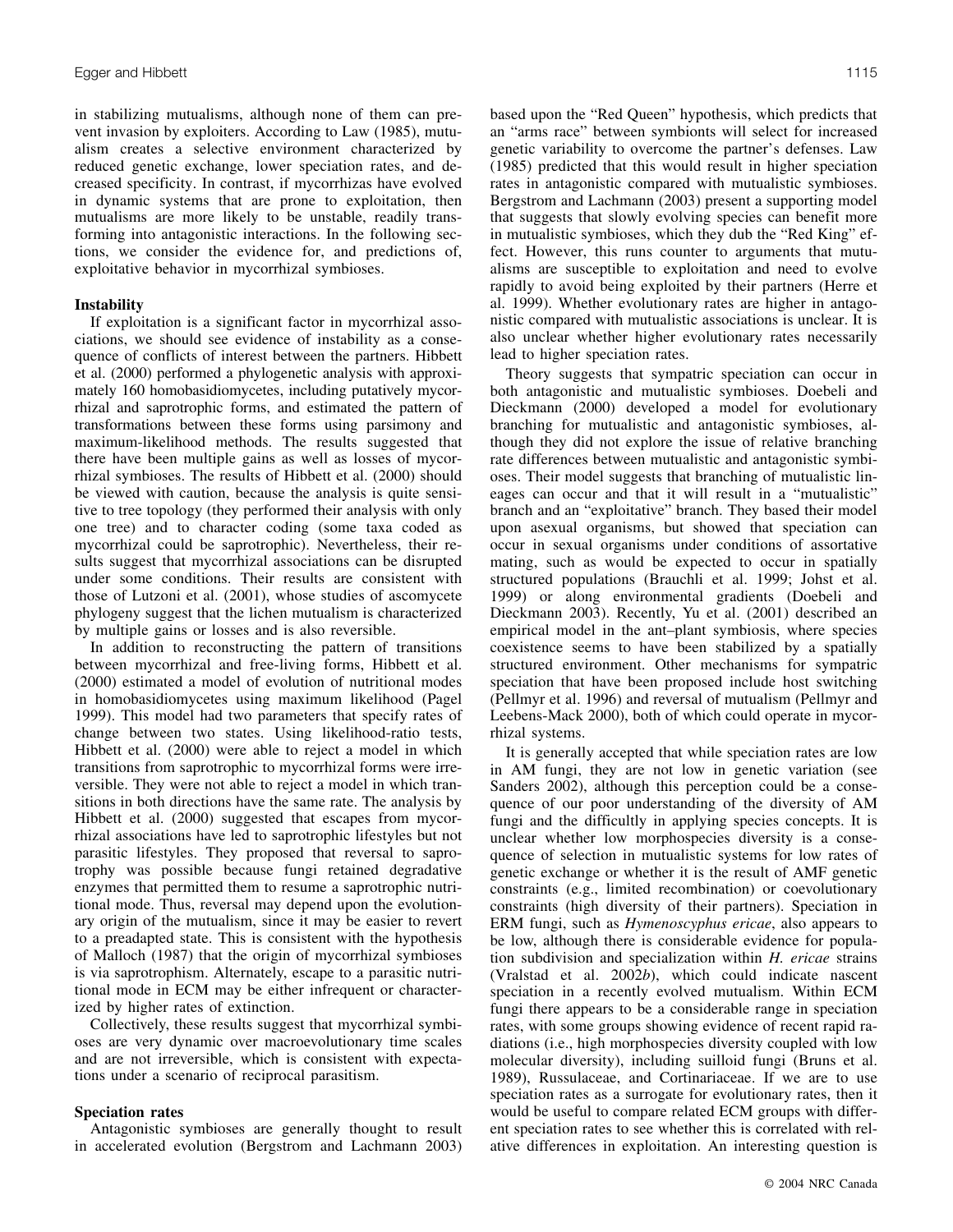in stabilizing mutualisms, although none of them can prevent invasion by exploiters. According to Law (1985), mutualism creates a selective environment characterized by reduced genetic exchange, lower speciation rates, and decreased specificity. In contrast, if mycorrhizas have evolved in dynamic systems that are prone to exploitation, then mutualisms are more likely to be unstable, readily transforming into antagonistic interactions. In the following sections, we consider the evidence for, and predictions of, exploitative behavior in mycorrhizal symbioses.

#### **Instability**

If exploitation is a significant factor in mycorrhizal associations, we should see evidence of instability as a consequence of conflicts of interest between the partners. Hibbett et al. (2000) performed a phylogenetic analysis with approximately 160 homobasidiomycetes, including putatively mycorrhizal and saprotrophic forms, and estimated the pattern of transformations between these forms using parsimony and maximum-likelihood methods. The results suggested that there have been multiple gains as well as losses of mycorrhizal symbioses. The results of Hibbett et al. (2000) should be viewed with caution, because the analysis is quite sensitive to tree topology (they performed their analysis with only one tree) and to character coding (some taxa coded as mycorrhizal could be saprotrophic). Nevertheless, their results suggest that mycorrhizal associations can be disrupted under some conditions. Their results are consistent with those of Lutzoni et al. (2001), whose studies of ascomycete phylogeny suggest that the lichen mutualism is characterized by multiple gains or losses and is also reversible.

In addition to reconstructing the pattern of transitions between mycorrhizal and free-living forms, Hibbett et al. (2000) estimated a model of evolution of nutritional modes in homobasidiomycetes using maximum likelihood (Pagel 1999). This model had two parameters that specify rates of change between two states. Using likelihood-ratio tests, Hibbett et al. (2000) were able to reject a model in which transitions from saprotrophic to mycorrhizal forms were irreversible. They were not able to reject a model in which transitions in both directions have the same rate. The analysis by Hibbett et al. (2000) suggested that escapes from mycorrhizal associations have led to saprotrophic lifestyles but not parasitic lifestyles. They proposed that reversal to saprotrophy was possible because fungi retained degradative enzymes that permitted them to resume a saprotrophic nutritional mode. Thus, reversal may depend upon the evolutionary origin of the mutualism, since it may be easier to revert to a preadapted state. This is consistent with the hypothesis of Malloch (1987) that the origin of mycorrhizal symbioses is via saprotrophism. Alternately, escape to a parasitic nutritional mode in ECM may be either infrequent or characterized by higher rates of extinction.

Collectively, these results suggest that mycorrhizal symbioses are very dynamic over macroevolutionary time scales and are not irreversible, which is consistent with expectations under a scenario of reciprocal parasitism.

#### **Speciation rates**

Antagonistic symbioses are generally thought to result in accelerated evolution (Bergstrom and Lachmann 2003) based upon the "Red Queen" hypothesis, which predicts that an "arms race" between symbionts will select for increased genetic variability to overcome the partner's defenses. Law (1985) predicted that this would result in higher speciation rates in antagonistic compared with mutualistic symbioses. Bergstrom and Lachmann (2003) present a supporting model that suggests that slowly evolving species can benefit more in mutualistic symbioses, which they dub the "Red King" effect. However, this runs counter to arguments that mutualisms are susceptible to exploitation and need to evolve rapidly to avoid being exploited by their partners (Herre et al. 1999). Whether evolutionary rates are higher in antagonistic compared with mutualistic associations is unclear. It is also unclear whether higher evolutionary rates necessarily lead to higher speciation rates.

Theory suggests that sympatric speciation can occur in both antagonistic and mutualistic symbioses. Doebeli and Dieckmann (2000) developed a model for evolutionary branching for mutualistic and antagonistic symbioses, although they did not explore the issue of relative branching rate differences between mutualistic and antagonistic symbioses. Their model suggests that branching of mutualistic lineages can occur and that it will result in a "mutualistic" branch and an "exploitative" branch. They based their model upon asexual organisms, but showed that speciation can occur in sexual organisms under conditions of assortative mating, such as would be expected to occur in spatially structured populations (Brauchli et al. 1999; Johst et al. 1999) or along environmental gradients (Doebeli and Dieckmann 2003). Recently, Yu et al. (2001) described an empirical model in the ant–plant symbiosis, where species coexistence seems to have been stabilized by a spatially structured environment. Other mechanisms for sympatric speciation that have been proposed include host switching (Pellmyr et al. 1996) and reversal of mutualism (Pellmyr and Leebens-Mack 2000), both of which could operate in mycorrhizal systems.

It is generally accepted that while speciation rates are low in AM fungi, they are not low in genetic variation (see Sanders 2002), although this perception could be a consequence of our poor understanding of the diversity of AM fungi and the difficultly in applying species concepts. It is unclear whether low morphospecies diversity is a consequence of selection in mutualistic systems for low rates of genetic exchange or whether it is the result of AMF genetic constraints (e.g., limited recombination) or coevolutionary constraints (high diversity of their partners). Speciation in ERM fungi, such as *Hymenoscyphus ericae*, also appears to be low, although there is considerable evidence for population subdivision and specialization within *H. ericae* strains (Vralstad et al. 2002*b*), which could indicate nascent speciation in a recently evolved mutualism. Within ECM fungi there appears to be a considerable range in speciation rates, with some groups showing evidence of recent rapid radiations (i.e., high morphospecies diversity coupled with low molecular diversity), including suilloid fungi (Bruns et al. 1989), Russulaceae, and Cortinariaceae. If we are to use speciation rates as a surrogate for evolutionary rates, then it would be useful to compare related ECM groups with different speciation rates to see whether this is correlated with relative differences in exploitation. An interesting question is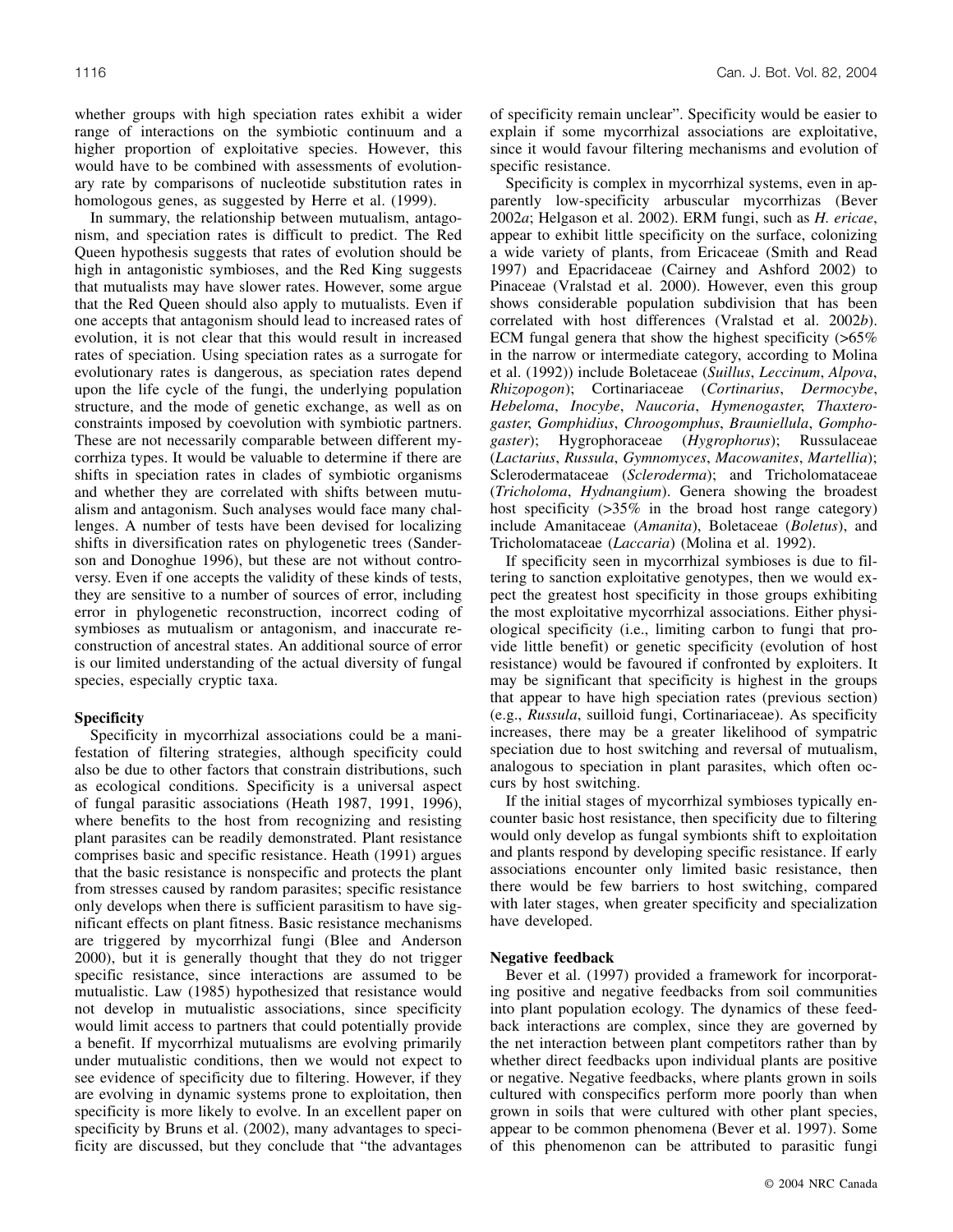whether groups with high speciation rates exhibit a wider range of interactions on the symbiotic continuum and a higher proportion of exploitative species. However, this would have to be combined with assessments of evolutionary rate by comparisons of nucleotide substitution rates in homologous genes, as suggested by Herre et al. (1999).

In summary, the relationship between mutualism, antagonism, and speciation rates is difficult to predict. The Red Queen hypothesis suggests that rates of evolution should be high in antagonistic symbioses, and the Red King suggests that mutualists may have slower rates. However, some argue that the Red Queen should also apply to mutualists. Even if one accepts that antagonism should lead to increased rates of evolution, it is not clear that this would result in increased rates of speciation. Using speciation rates as a surrogate for evolutionary rates is dangerous, as speciation rates depend upon the life cycle of the fungi, the underlying population structure, and the mode of genetic exchange, as well as on constraints imposed by coevolution with symbiotic partners. These are not necessarily comparable between different mycorrhiza types. It would be valuable to determine if there are shifts in speciation rates in clades of symbiotic organisms and whether they are correlated with shifts between mutualism and antagonism. Such analyses would face many challenges. A number of tests have been devised for localizing shifts in diversification rates on phylogenetic trees (Sanderson and Donoghue 1996), but these are not without controversy. Even if one accepts the validity of these kinds of tests, they are sensitive to a number of sources of error, including error in phylogenetic reconstruction, incorrect coding of symbioses as mutualism or antagonism, and inaccurate reconstruction of ancestral states. An additional source of error is our limited understanding of the actual diversity of fungal species, especially cryptic taxa.

#### **Specificity**

Specificity in mycorrhizal associations could be a manifestation of filtering strategies, although specificity could also be due to other factors that constrain distributions, such as ecological conditions. Specificity is a universal aspect of fungal parasitic associations (Heath 1987, 1991, 1996), where benefits to the host from recognizing and resisting plant parasites can be readily demonstrated. Plant resistance comprises basic and specific resistance. Heath (1991) argues that the basic resistance is nonspecific and protects the plant from stresses caused by random parasites; specific resistance only develops when there is sufficient parasitism to have significant effects on plant fitness. Basic resistance mechanisms are triggered by mycorrhizal fungi (Blee and Anderson 2000), but it is generally thought that they do not trigger specific resistance, since interactions are assumed to be mutualistic. Law (1985) hypothesized that resistance would not develop in mutualistic associations, since specificity would limit access to partners that could potentially provide a benefit. If mycorrhizal mutualisms are evolving primarily under mutualistic conditions, then we would not expect to see evidence of specificity due to filtering. However, if they are evolving in dynamic systems prone to exploitation, then specificity is more likely to evolve. In an excellent paper on specificity by Bruns et al. (2002), many advantages to specificity are discussed, but they conclude that "the advantages of specificity remain unclear". Specificity would be easier to explain if some mycorrhizal associations are exploitative, since it would favour filtering mechanisms and evolution of specific resistance.

Specificity is complex in mycorrhizal systems, even in apparently low-specificity arbuscular mycorrhizas (Bever 2002*a*; Helgason et al. 2002). ERM fungi, such as *H. ericae*, appear to exhibit little specificity on the surface, colonizing a wide variety of plants, from Ericaceae (Smith and Read 1997) and Epacridaceae (Cairney and Ashford 2002) to Pinaceae (Vralstad et al. 2000). However, even this group shows considerable population subdivision that has been correlated with host differences (Vralstad et al. 2002*b*). ECM fungal genera that show the highest specificity (>65% in the narrow or intermediate category, according to Molina et al. (1992)) include Boletaceae (*Suillus*, *Leccinum*, *Alpova*, *Rhizopogon*); Cortinariaceae (*Cortinarius*, *Dermocybe*, *Hebeloma*, *Inocybe*, *Naucoria*, *Hymenogaster*, *Thaxterogaster*, *Gomphidius*, *Chroogomphus*, *Brauniellula*, *Gomphogaster*); Hygrophoraceae (*Hygrophorus*); Russulaceae (*Lactarius*, *Russula*, *Gymnomyces*, *Macowanites*, *Martellia*); Sclerodermataceae (*Scleroderma*); and Tricholomataceae (*Tricholoma*, *Hydnangium*). Genera showing the broadest host specificity (>35% in the broad host range category) include Amanitaceae (*Amanita*), Boletaceae (*Boletus*), and Tricholomataceae (*Laccaria*) (Molina et al. 1992).

If specificity seen in mycorrhizal symbioses is due to filtering to sanction exploitative genotypes, then we would expect the greatest host specificity in those groups exhibiting the most exploitative mycorrhizal associations. Either physiological specificity (i.e., limiting carbon to fungi that provide little benefit) or genetic specificity (evolution of host resistance) would be favoured if confronted by exploiters. It may be significant that specificity is highest in the groups that appear to have high speciation rates (previous section) (e.g., *Russula*, suilloid fungi, Cortinariaceae). As specificity increases, there may be a greater likelihood of sympatric speciation due to host switching and reversal of mutualism, analogous to speciation in plant parasites, which often occurs by host switching.

If the initial stages of mycorrhizal symbioses typically encounter basic host resistance, then specificity due to filtering would only develop as fungal symbionts shift to exploitation and plants respond by developing specific resistance. If early associations encounter only limited basic resistance, then there would be few barriers to host switching, compared with later stages, when greater specificity and specialization have developed.

#### **Negative feedback**

Bever et al. (1997) provided a framework for incorporating positive and negative feedbacks from soil communities into plant population ecology. The dynamics of these feedback interactions are complex, since they are governed by the net interaction between plant competitors rather than by whether direct feedbacks upon individual plants are positive or negative. Negative feedbacks, where plants grown in soils cultured with conspecifics perform more poorly than when grown in soils that were cultured with other plant species, appear to be common phenomena (Bever et al. 1997). Some of this phenomenon can be attributed to parasitic fungi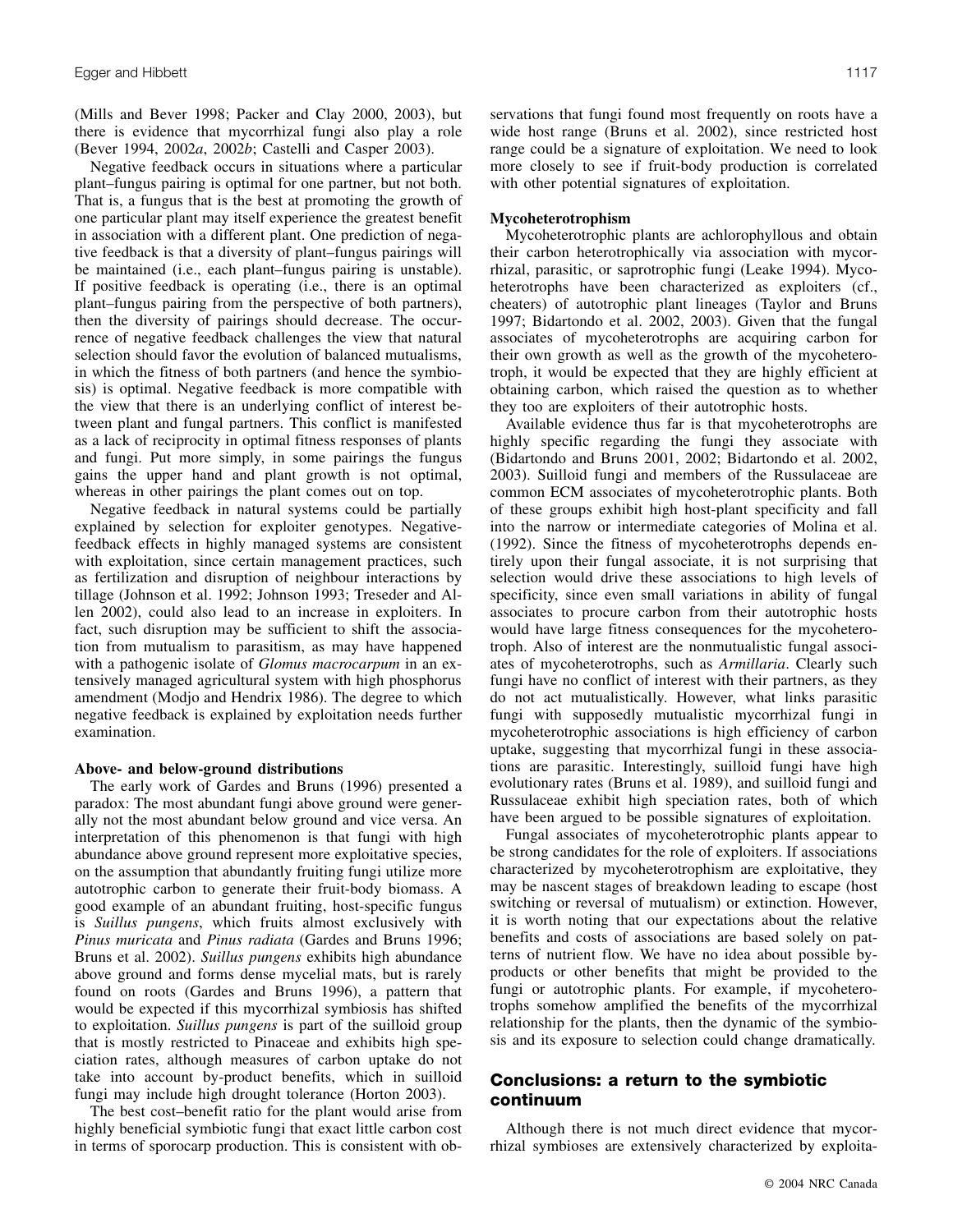(Mills and Bever 1998; Packer and Clay 2000, 2003), but there is evidence that mycorrhizal fungi also play a role (Bever 1994, 2002*a*, 2002*b*; Castelli and Casper 2003).

Negative feedback occurs in situations where a particular plant–fungus pairing is optimal for one partner, but not both. That is, a fungus that is the best at promoting the growth of one particular plant may itself experience the greatest benefit in association with a different plant. One prediction of negative feedback is that a diversity of plant–fungus pairings will be maintained (i.e., each plant–fungus pairing is unstable). If positive feedback is operating (i.e., there is an optimal plant–fungus pairing from the perspective of both partners), then the diversity of pairings should decrease. The occurrence of negative feedback challenges the view that natural selection should favor the evolution of balanced mutualisms, in which the fitness of both partners (and hence the symbiosis) is optimal. Negative feedback is more compatible with the view that there is an underlying conflict of interest between plant and fungal partners. This conflict is manifested as a lack of reciprocity in optimal fitness responses of plants and fungi. Put more simply, in some pairings the fungus gains the upper hand and plant growth is not optimal, whereas in other pairings the plant comes out on top.

Negative feedback in natural systems could be partially explained by selection for exploiter genotypes. Negativefeedback effects in highly managed systems are consistent with exploitation, since certain management practices, such as fertilization and disruption of neighbour interactions by tillage (Johnson et al. 1992; Johnson 1993; Treseder and Allen 2002), could also lead to an increase in exploiters. In fact, such disruption may be sufficient to shift the association from mutualism to parasitism, as may have happened with a pathogenic isolate of *Glomus macrocarpum* in an extensively managed agricultural system with high phosphorus amendment (Modjo and Hendrix 1986). The degree to which negative feedback is explained by exploitation needs further examination.

#### **Above- and below-ground distributions**

The early work of Gardes and Bruns (1996) presented a paradox: The most abundant fungi above ground were generally not the most abundant below ground and vice versa. An interpretation of this phenomenon is that fungi with high abundance above ground represent more exploitative species, on the assumption that abundantly fruiting fungi utilize more autotrophic carbon to generate their fruit-body biomass. A good example of an abundant fruiting, host-specific fungus is *Suillus pungens*, which fruits almost exclusively with *Pinus muricata* and *Pinus radiata* (Gardes and Bruns 1996; Bruns et al. 2002). *Suillus pungens* exhibits high abundance above ground and forms dense mycelial mats, but is rarely found on roots (Gardes and Bruns 1996), a pattern that would be expected if this mycorrhizal symbiosis has shifted to exploitation. *Suillus pungens* is part of the suilloid group that is mostly restricted to Pinaceae and exhibits high speciation rates, although measures of carbon uptake do not take into account by-product benefits, which in suilloid fungi may include high drought tolerance (Horton 2003).

The best cost–benefit ratio for the plant would arise from highly beneficial symbiotic fungi that exact little carbon cost in terms of sporocarp production. This is consistent with observations that fungi found most frequently on roots have a wide host range (Bruns et al. 2002), since restricted host range could be a signature of exploitation. We need to look more closely to see if fruit-body production is correlated with other potential signatures of exploitation.

#### **Mycoheterotrophism**

Mycoheterotrophic plants are achlorophyllous and obtain their carbon heterotrophically via association with mycorrhizal, parasitic, or saprotrophic fungi (Leake 1994). Mycoheterotrophs have been characterized as exploiters (cf., cheaters) of autotrophic plant lineages (Taylor and Bruns 1997; Bidartondo et al. 2002, 2003). Given that the fungal associates of mycoheterotrophs are acquiring carbon for their own growth as well as the growth of the mycoheterotroph, it would be expected that they are highly efficient at obtaining carbon, which raised the question as to whether they too are exploiters of their autotrophic hosts.

Available evidence thus far is that mycoheterotrophs are highly specific regarding the fungi they associate with (Bidartondo and Bruns 2001, 2002; Bidartondo et al. 2002, 2003). Suilloid fungi and members of the Russulaceae are common ECM associates of mycoheterotrophic plants. Both of these groups exhibit high host-plant specificity and fall into the narrow or intermediate categories of Molina et al. (1992). Since the fitness of mycoheterotrophs depends entirely upon their fungal associate, it is not surprising that selection would drive these associations to high levels of specificity, since even small variations in ability of fungal associates to procure carbon from their autotrophic hosts would have large fitness consequences for the mycoheterotroph. Also of interest are the nonmutualistic fungal associates of mycoheterotrophs, such as *Armillaria*. Clearly such fungi have no conflict of interest with their partners, as they do not act mutualistically. However, what links parasitic fungi with supposedly mutualistic mycorrhizal fungi in mycoheterotrophic associations is high efficiency of carbon uptake, suggesting that mycorrhizal fungi in these associations are parasitic. Interestingly, suilloid fungi have high evolutionary rates (Bruns et al. 1989), and suilloid fungi and Russulaceae exhibit high speciation rates, both of which have been argued to be possible signatures of exploitation.

Fungal associates of mycoheterotrophic plants appear to be strong candidates for the role of exploiters. If associations characterized by mycoheterotrophism are exploitative, they may be nascent stages of breakdown leading to escape (host switching or reversal of mutualism) or extinction. However, it is worth noting that our expectations about the relative benefits and costs of associations are based solely on patterns of nutrient flow. We have no idea about possible byproducts or other benefits that might be provided to the fungi or autotrophic plants. For example, if mycoheterotrophs somehow amplified the benefits of the mycorrhizal relationship for the plants, then the dynamic of the symbiosis and its exposure to selection could change dramatically.

## **Conclusions: a return to the symbiotic continuum**

Although there is not much direct evidence that mycorrhizal symbioses are extensively characterized by exploita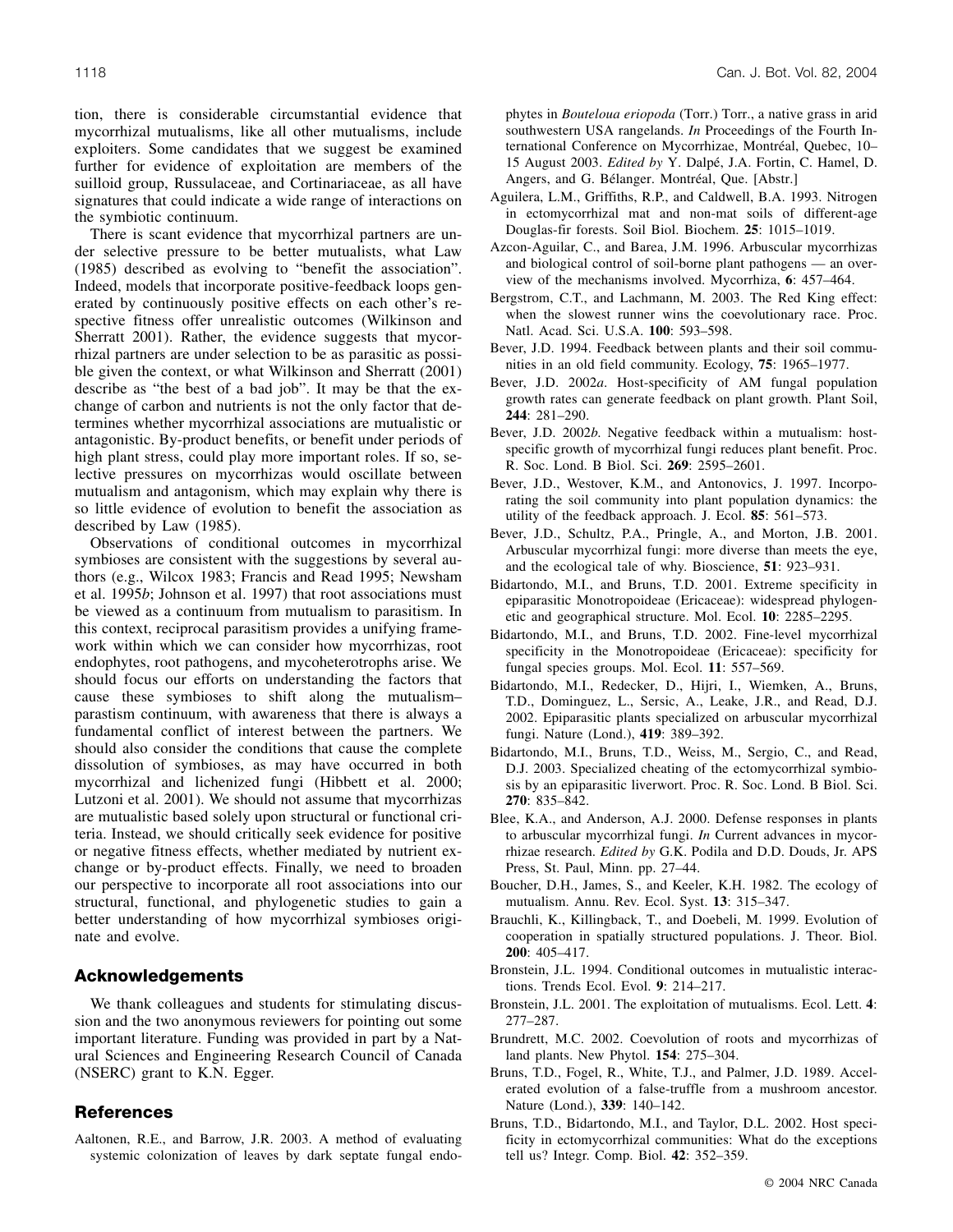tion, there is considerable circumstantial evidence that mycorrhizal mutualisms, like all other mutualisms, include exploiters. Some candidates that we suggest be examined further for evidence of exploitation are members of the suilloid group, Russulaceae, and Cortinariaceae, as all have signatures that could indicate a wide range of interactions on the symbiotic continuum.

There is scant evidence that mycorrhizal partners are under selective pressure to be better mutualists, what Law (1985) described as evolving to "benefit the association". Indeed, models that incorporate positive-feedback loops generated by continuously positive effects on each other's respective fitness offer unrealistic outcomes (Wilkinson and Sherratt 2001). Rather, the evidence suggests that mycorrhizal partners are under selection to be as parasitic as possible given the context, or what Wilkinson and Sherratt (2001) describe as "the best of a bad job". It may be that the exchange of carbon and nutrients is not the only factor that determines whether mycorrhizal associations are mutualistic or antagonistic. By-product benefits, or benefit under periods of high plant stress, could play more important roles. If so, selective pressures on mycorrhizas would oscillate between mutualism and antagonism, which may explain why there is so little evidence of evolution to benefit the association as described by Law (1985).

Observations of conditional outcomes in mycorrhizal symbioses are consistent with the suggestions by several authors (e.g., Wilcox 1983; Francis and Read 1995; Newsham et al. 1995*b*; Johnson et al. 1997) that root associations must be viewed as a continuum from mutualism to parasitism. In this context, reciprocal parasitism provides a unifying framework within which we can consider how mycorrhizas, root endophytes, root pathogens, and mycoheterotrophs arise. We should focus our efforts on understanding the factors that cause these symbioses to shift along the mutualism– parastism continuum, with awareness that there is always a fundamental conflict of interest between the partners. We should also consider the conditions that cause the complete dissolution of symbioses, as may have occurred in both mycorrhizal and lichenized fungi (Hibbett et al. 2000; Lutzoni et al. 2001). We should not assume that mycorrhizas are mutualistic based solely upon structural or functional criteria. Instead, we should critically seek evidence for positive or negative fitness effects, whether mediated by nutrient exchange or by-product effects. Finally, we need to broaden our perspective to incorporate all root associations into our structural, functional, and phylogenetic studies to gain a better understanding of how mycorrhizal symbioses originate and evolve.

## **Acknowledgements**

We thank colleagues and students for stimulating discussion and the two anonymous reviewers for pointing out some important literature. Funding was provided in part by a Natural Sciences and Engineering Research Council of Canada (NSERC) grant to K.N. Egger.

## **References**

Aaltonen, R.E., and Barrow, J.R. 2003. A method of evaluating systemic colonization of leaves by dark septate fungal endophytes in *Bouteloua eriopoda* (Torr.) Torr., a native grass in arid southwestern USA rangelands. *In* Proceedings of the Fourth International Conference on Mycorrhizae, Montréal, Quebec, 10– 15 August 2003. *Edited by* Y. Dalpé, J.A. Fortin, C. Hamel, D. Angers, and G. Bélanger. Montréal, Que. [Abstr.]

- Aguilera, L.M., Griffiths, R.P., and Caldwell, B.A. 1993. Nitrogen in ectomycorrhizal mat and non-mat soils of different-age Douglas-fir forests. Soil Biol. Biochem. **25**: 1015–1019.
- Azcon-Aguilar, C., and Barea, J.M. 1996. Arbuscular mycorrhizas and biological control of soil-borne plant pathogens — an overview of the mechanisms involved. Mycorrhiza, **6**: 457–464.
- Bergstrom, C.T., and Lachmann, M. 2003. The Red King effect: when the slowest runner wins the coevolutionary race. Proc. Natl. Acad. Sci. U.S.A. **100**: 593–598.
- Bever, J.D. 1994. Feedback between plants and their soil communities in an old field community. Ecology, **75**: 1965–1977.
- Bever, J.D. 2002*a*. Host-specificity of AM fungal population growth rates can generate feedback on plant growth. Plant Soil, **244**: 281–290.
- Bever, J.D. 2002*b*. Negative feedback within a mutualism: hostspecific growth of mycorrhizal fungi reduces plant benefit. Proc. R. Soc. Lond. B Biol. Sci. **269**: 2595–2601.
- Bever, J.D., Westover, K.M., and Antonovics, J. 1997. Incorporating the soil community into plant population dynamics: the utility of the feedback approach. J. Ecol. **85**: 561–573.
- Bever, J.D., Schultz, P.A., Pringle, A., and Morton, J.B. 2001. Arbuscular mycorrhizal fungi: more diverse than meets the eye, and the ecological tale of why. Bioscience, **51**: 923–931.
- Bidartondo, M.I., and Bruns, T.D. 2001. Extreme specificity in epiparasitic Monotropoideae (Ericaceae): widespread phylogenetic and geographical structure. Mol. Ecol. **10**: 2285–2295.
- Bidartondo, M.I., and Bruns, T.D. 2002. Fine-level mycorrhizal specificity in the Monotropoideae (Ericaceae): specificity for fungal species groups. Mol. Ecol. **11**: 557–569.
- Bidartondo, M.I., Redecker, D., Hijri, I., Wiemken, A., Bruns, T.D., Dominguez, L., Sersic, A., Leake, J.R., and Read, D.J. 2002. Epiparasitic plants specialized on arbuscular mycorrhizal fungi. Nature (Lond.), **419**: 389–392.
- Bidartondo, M.I., Bruns, T.D., Weiss, M., Sergio, C., and Read, D.J. 2003. Specialized cheating of the ectomycorrhizal symbiosis by an epiparasitic liverwort. Proc. R. Soc. Lond. B Biol. Sci. **270**: 835–842.
- Blee, K.A., and Anderson, A.J. 2000. Defense responses in plants to arbuscular mycorrhizal fungi. *In* Current advances in mycorrhizae research. *Edited by* G.K. Podila and D.D. Douds, Jr. APS Press, St. Paul, Minn. pp. 27–44.
- Boucher, D.H., James, S., and Keeler, K.H. 1982. The ecology of mutualism. Annu. Rev. Ecol. Syst. **13**: 315–347.
- Brauchli, K., Killingback, T., and Doebeli, M. 1999. Evolution of cooperation in spatially structured populations. J. Theor. Biol. **200**: 405–417.
- Bronstein, J.L. 1994. Conditional outcomes in mutualistic interactions. Trends Ecol. Evol. **9**: 214–217.
- Bronstein, J.L. 2001. The exploitation of mutualisms. Ecol. Lett. **4**: 277–287.
- Brundrett, M.C. 2002. Coevolution of roots and mycorrhizas of land plants. New Phytol. **154**: 275–304.
- Bruns, T.D., Fogel, R., White, T.J., and Palmer, J.D. 1989. Accelerated evolution of a false-truffle from a mushroom ancestor. Nature (Lond.), **339**: 140–142.
- Bruns, T.D., Bidartondo, M.I., and Taylor, D.L. 2002. Host specificity in ectomycorrhizal communities: What do the exceptions tell us? Integr. Comp. Biol. **42**: 352–359.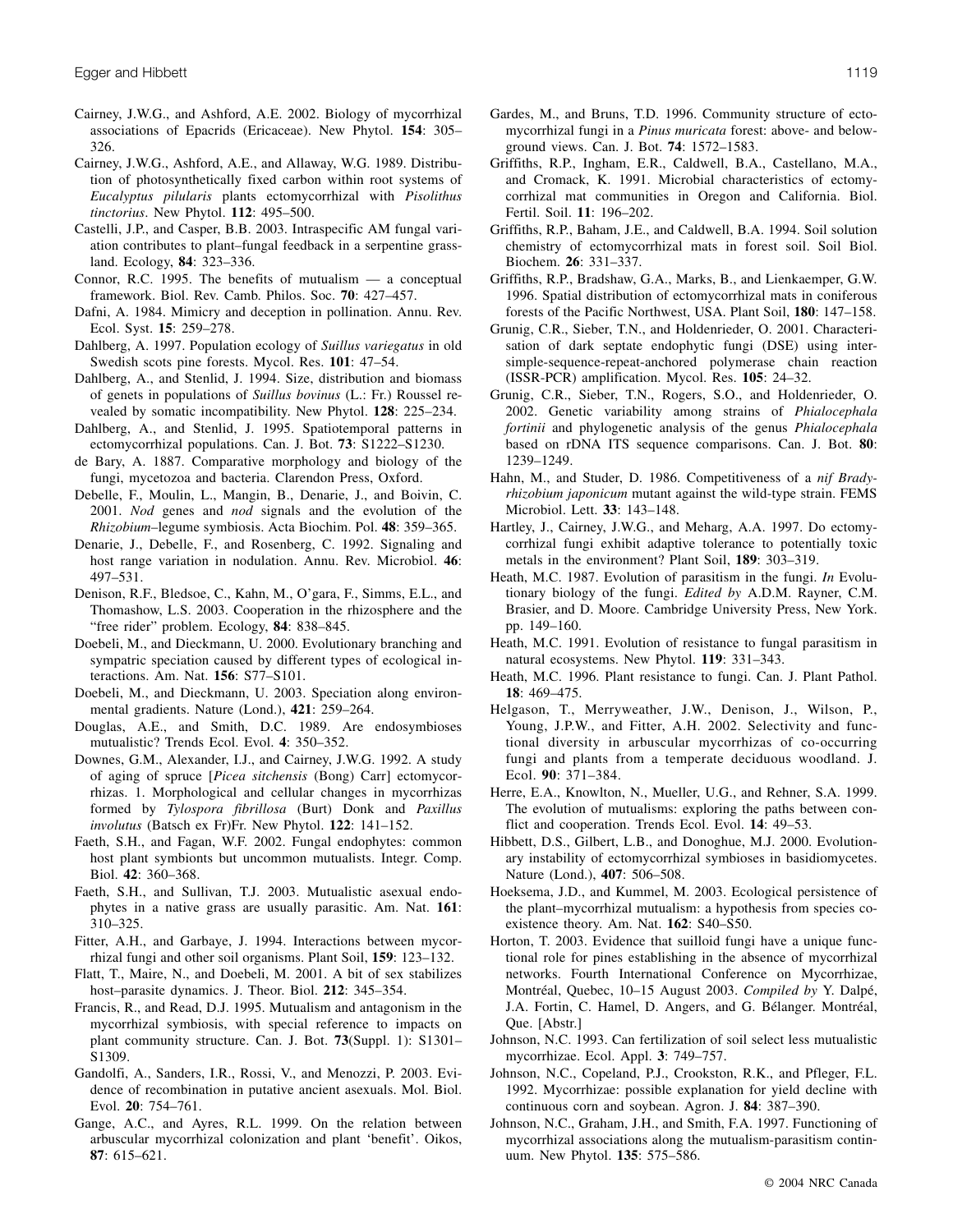- Cairney, J.W.G., and Ashford, A.E. 2002. Biology of mycorrhizal associations of Epacrids (Ericaceae). New Phytol. **154**: 305– 326.
- Cairney, J.W.G., Ashford, A.E., and Allaway, W.G. 1989. Distribution of photosynthetically fixed carbon within root systems of *Eucalyptus pilularis* plants ectomycorrhizal with *Pisolithus tinctorius*. New Phytol. **112**: 495–500.
- Castelli, J.P., and Casper, B.B. 2003. Intraspecific AM fungal variation contributes to plant–fungal feedback in a serpentine grassland. Ecology, **84**: 323–336.
- Connor, R.C. 1995. The benefits of mutualism a conceptual framework. Biol. Rev. Camb. Philos. Soc. **70**: 427–457.
- Dafni, A. 1984. Mimicry and deception in pollination. Annu. Rev. Ecol. Syst. **15**: 259–278.
- Dahlberg, A. 1997. Population ecology of *Suillus variegatus* in old Swedish scots pine forests. Mycol. Res. **101**: 47–54.
- Dahlberg, A., and Stenlid, J. 1994. Size, distribution and biomass of genets in populations of *Suillus bovinus* (L.: Fr.) Roussel revealed by somatic incompatibility. New Phytol. **128**: 225–234.
- Dahlberg, A., and Stenlid, J. 1995. Spatiotemporal patterns in ectomycorrhizal populations. Can. J. Bot. **73**: S1222–S1230.
- de Bary, A. 1887. Comparative morphology and biology of the fungi, mycetozoa and bacteria. Clarendon Press, Oxford.
- Debelle, F., Moulin, L., Mangin, B., Denarie, J., and Boivin, C. 2001. *Nod* genes and *nod* signals and the evolution of the *Rhizobium*–legume symbiosis. Acta Biochim. Pol. **48**: 359–365.
- Denarie, J., Debelle, F., and Rosenberg, C. 1992. Signaling and host range variation in nodulation. Annu. Rev. Microbiol. **46**: 497–531.
- Denison, R.F., Bledsoe, C., Kahn, M., O'gara, F., Simms, E.L., and Thomashow, L.S. 2003. Cooperation in the rhizosphere and the "free rider" problem. Ecology, **84**: 838–845.
- Doebeli, M., and Dieckmann, U. 2000. Evolutionary branching and sympatric speciation caused by different types of ecological interactions. Am. Nat. **156**: S77–S101.
- Doebeli, M., and Dieckmann, U. 2003. Speciation along environmental gradients. Nature (Lond.), **421**: 259–264.
- Douglas, A.E., and Smith, D.C. 1989. Are endosymbioses mutualistic? Trends Ecol. Evol. **4**: 350–352.
- Downes, G.M., Alexander, I.J., and Cairney, J.W.G. 1992. A study of aging of spruce [*Picea sitchensis* (Bong) Carr] ectomycorrhizas. 1. Morphological and cellular changes in mycorrhizas formed by *Tylospora fibrillosa* (Burt) Donk and *Paxillus involutus* (Batsch ex Fr)Fr. New Phytol. **122**: 141–152.
- Faeth, S.H., and Fagan, W.F. 2002. Fungal endophytes: common host plant symbionts but uncommon mutualists. Integr. Comp. Biol. **42**: 360–368.
- Faeth, S.H., and Sullivan, T.J. 2003. Mutualistic asexual endophytes in a native grass are usually parasitic. Am. Nat. **161**: 310–325.
- Fitter, A.H., and Garbaye, J. 1994. Interactions between mycorrhizal fungi and other soil organisms. Plant Soil, **159**: 123–132.
- Flatt, T., Maire, N., and Doebeli, M. 2001. A bit of sex stabilizes host–parasite dynamics. J. Theor. Biol. **212**: 345–354.
- Francis, R., and Read, D.J. 1995. Mutualism and antagonism in the mycorrhizal symbiosis, with special reference to impacts on plant community structure. Can. J. Bot. **73**(Suppl. 1): S1301– S1309.
- Gandolfi, A., Sanders, I.R., Rossi, V., and Menozzi, P. 2003. Evidence of recombination in putative ancient asexuals. Mol. Biol. Evol. **20**: 754–761.
- Gange, A.C., and Ayres, R.L. 1999. On the relation between arbuscular mycorrhizal colonization and plant 'benefit'. Oikos, **87**: 615–621.
- Gardes, M., and Bruns, T.D. 1996. Community structure of ectomycorrhizal fungi in a *Pinus muricata* forest: above- and belowground views. Can. J. Bot. **74**: 1572–1583.
- Griffiths, R.P., Ingham, E.R., Caldwell, B.A., Castellano, M.A., and Cromack, K. 1991. Microbial characteristics of ectomycorrhizal mat communities in Oregon and California. Biol. Fertil. Soil. **11**: 196–202.
- Griffiths, R.P., Baham, J.E., and Caldwell, B.A. 1994. Soil solution chemistry of ectomycorrhizal mats in forest soil. Soil Biol. Biochem. **26**: 331–337.
- Griffiths, R.P., Bradshaw, G.A., Marks, B., and Lienkaemper, G.W. 1996. Spatial distribution of ectomycorrhizal mats in coniferous forests of the Pacific Northwest, USA. Plant Soil, **180**: 147–158.
- Grunig, C.R., Sieber, T.N., and Holdenrieder, O. 2001. Characterisation of dark septate endophytic fungi (DSE) using intersimple-sequence-repeat-anchored polymerase chain reaction (ISSR-PCR) amplification. Mycol. Res. **105**: 24–32.
- Grunig, C.R., Sieber, T.N., Rogers, S.O., and Holdenrieder, O. 2002. Genetic variability among strains of *Phialocephala fortinii* and phylogenetic analysis of the genus *Phialocephala* based on rDNA ITS sequence comparisons. Can. J. Bot. **80**: 1239–1249.
- Hahn, M., and Studer, D. 1986. Competitiveness of a *nif Bradyrhizobium japonicum* mutant against the wild-type strain. FEMS Microbiol. Lett. **33**: 143–148.
- Hartley, J., Cairney, J.W.G., and Meharg, A.A. 1997. Do ectomycorrhizal fungi exhibit adaptive tolerance to potentially toxic metals in the environment? Plant Soil, **189**: 303–319.
- Heath, M.C. 1987. Evolution of parasitism in the fungi. *In* Evolutionary biology of the fungi. *Edited by* A.D.M. Rayner, C.M. Brasier, and D. Moore. Cambridge University Press, New York. pp. 149–160.
- Heath, M.C. 1991. Evolution of resistance to fungal parasitism in natural ecosystems. New Phytol. **119**: 331–343.
- Heath, M.C. 1996. Plant resistance to fungi. Can. J. Plant Pathol. **18**: 469–475.
- Helgason, T., Merryweather, J.W., Denison, J., Wilson, P., Young, J.P.W., and Fitter, A.H. 2002. Selectivity and functional diversity in arbuscular mycorrhizas of co-occurring fungi and plants from a temperate deciduous woodland. J. Ecol. **90**: 371–384.
- Herre, E.A., Knowlton, N., Mueller, U.G., and Rehner, S.A. 1999. The evolution of mutualisms: exploring the paths between conflict and cooperation. Trends Ecol. Evol. **14**: 49–53.
- Hibbett, D.S., Gilbert, L.B., and Donoghue, M.J. 2000. Evolutionary instability of ectomycorrhizal symbioses in basidiomycetes. Nature (Lond.), **407**: 506–508.
- Hoeksema, J.D., and Kummel, M. 2003. Ecological persistence of the plant–mycorrhizal mutualism: a hypothesis from species coexistence theory. Am. Nat. **162**: S40–S50.
- Horton, T. 2003. Evidence that suilloid fungi have a unique functional role for pines establishing in the absence of mycorrhizal networks. Fourth International Conference on Mycorrhizae, Montréal, Quebec, 10–15 August 2003. *Compiled by* Y. Dalpé, J.A. Fortin, C. Hamel, D. Angers, and G. Bélanger. Montréal, Que. [Abstr.]
- Johnson, N.C. 1993. Can fertilization of soil select less mutualistic mycorrhizae. Ecol. Appl. **3**: 749–757.
- Johnson, N.C., Copeland, P.J., Crookston, R.K., and Pfleger, F.L. 1992. Mycorrhizae: possible explanation for yield decline with continuous corn and soybean. Agron. J. **84**: 387–390.
- Johnson, N.C., Graham, J.H., and Smith, F.A. 1997. Functioning of mycorrhizal associations along the mutualism-parasitism continuum. New Phytol. **135**: 575–586.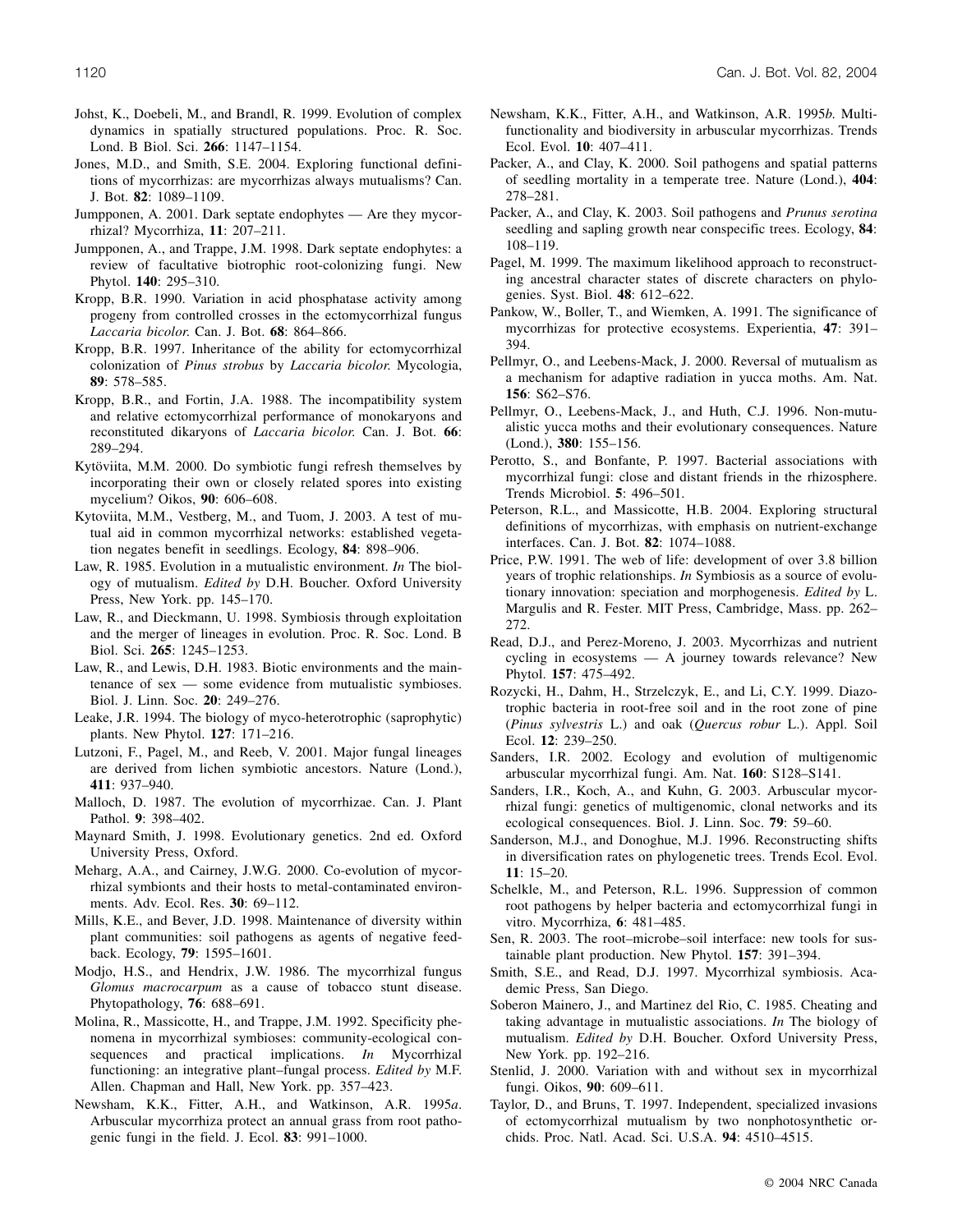- Johst, K., Doebeli, M., and Brandl, R. 1999. Evolution of complex dynamics in spatially structured populations. Proc. R. Soc. Lond. B Biol. Sci. **266**: 1147–1154.
- Jones, M.D., and Smith, S.E. 2004. Exploring functional definitions of mycorrhizas: are mycorrhizas always mutualisms? Can. J. Bot. **82**: 1089–1109.
- Jumpponen, A. 2001. Dark septate endophytes Are they mycorrhizal? Mycorrhiza, **11**: 207–211.
- Jumpponen, A., and Trappe, J.M. 1998. Dark septate endophytes: a review of facultative biotrophic root-colonizing fungi. New Phytol. **140**: 295–310.
- Kropp, B.R. 1990. Variation in acid phosphatase activity among progeny from controlled crosses in the ectomycorrhizal fungus *Laccaria bicolor*. Can. J. Bot. **68**: 864–866.
- Kropp, B.R. 1997. Inheritance of the ability for ectomycorrhizal colonization of *Pinus strobus* by *Laccaria bicolor*. Mycologia, **89**: 578–585.
- Kropp, B.R., and Fortin, J.A. 1988. The incompatibility system and relative ectomycorrhizal performance of monokaryons and reconstituted dikaryons of *Laccaria bicolor*. Can. J. Bot. **66**: 289–294.
- Kytöviita, M.M. 2000. Do symbiotic fungi refresh themselves by incorporating their own or closely related spores into existing mycelium? Oikos, **90**: 606–608.
- Kytoviita, M.M., Vestberg, M., and Tuom, J. 2003. A test of mutual aid in common mycorrhizal networks: established vegetation negates benefit in seedlings. Ecology, **84**: 898–906.
- Law, R. 1985. Evolution in a mutualistic environment. *In* The biology of mutualism. *Edited by* D.H. Boucher. Oxford University Press, New York. pp. 145–170.
- Law, R., and Dieckmann, U. 1998. Symbiosis through exploitation and the merger of lineages in evolution. Proc. R. Soc. Lond. B Biol. Sci. **265**: 1245–1253.
- Law, R., and Lewis, D.H. 1983. Biotic environments and the maintenance of sex — some evidence from mutualistic symbioses. Biol. J. Linn. Soc. **20**: 249–276.
- Leake, J.R. 1994. The biology of myco-heterotrophic (saprophytic) plants. New Phytol. **127**: 171–216.
- Lutzoni, F., Pagel, M., and Reeb, V. 2001. Major fungal lineages are derived from lichen symbiotic ancestors. Nature (Lond.), **411**: 937–940.
- Malloch, D. 1987. The evolution of mycorrhizae. Can. J. Plant Pathol. **9**: 398–402.
- Maynard Smith, J. 1998. Evolutionary genetics. 2nd ed. Oxford University Press, Oxford.
- Meharg, A.A., and Cairney, J.W.G. 2000. Co-evolution of mycorrhizal symbionts and their hosts to metal-contaminated environments. Adv. Ecol. Res. **30**: 69–112.
- Mills, K.E., and Bever, J.D. 1998. Maintenance of diversity within plant communities: soil pathogens as agents of negative feedback. Ecology, **79**: 1595–1601.
- Modjo, H.S., and Hendrix, J.W. 1986. The mycorrhizal fungus *Glomus macrocarpum* as a cause of tobacco stunt disease. Phytopathology, **76**: 688–691.
- Molina, R., Massicotte, H., and Trappe, J.M. 1992. Specificity phenomena in mycorrhizal symbioses: community-ecological consequences and practical implications. *In* Mycorrhizal functioning: an integrative plant–fungal process. *Edited by* M.F. Allen. Chapman and Hall, New York. pp. 357–423.
- Newsham, K.K., Fitter, A.H., and Watkinson, A.R. 1995*a*. Arbuscular mycorrhiza protect an annual grass from root pathogenic fungi in the field. J. Ecol. **83**: 991–1000.
- Newsham, K.K., Fitter, A.H., and Watkinson, A.R. 1995*b*. Multifunctionality and biodiversity in arbuscular mycorrhizas. Trends Ecol. Evol. **10**: 407–411.
- Packer, A., and Clay, K. 2000. Soil pathogens and spatial patterns of seedling mortality in a temperate tree. Nature (Lond.), **404**: 278–281.
- Packer, A., and Clay, K. 2003. Soil pathogens and *Prunus serotina* seedling and sapling growth near conspecific trees. Ecology, **84**: 108–119.
- Pagel, M. 1999. The maximum likelihood approach to reconstructing ancestral character states of discrete characters on phylogenies. Syst. Biol. **48**: 612–622.
- Pankow, W., Boller, T., and Wiemken, A. 1991. The significance of mycorrhizas for protective ecosystems. Experientia, **47**: 391– 394.
- Pellmyr, O., and Leebens-Mack, J. 2000. Reversal of mutualism as a mechanism for adaptive radiation in yucca moths. Am. Nat. **156**: S62–S76.
- Pellmyr, O., Leebens-Mack, J., and Huth, C.J. 1996. Non-mutualistic yucca moths and their evolutionary consequences. Nature (Lond.), **380**: 155–156.
- Perotto, S., and Bonfante, P. 1997. Bacterial associations with mycorrhizal fungi: close and distant friends in the rhizosphere. Trends Microbiol. **5**: 496–501.
- Peterson, R.L., and Massicotte, H.B. 2004. Exploring structural definitions of mycorrhizas, with emphasis on nutrient-exchange interfaces. Can. J. Bot. **82**: 1074–1088.
- Price, P.W. 1991. The web of life: development of over 3.8 billion years of trophic relationships. *In* Symbiosis as a source of evolutionary innovation: speciation and morphogenesis. *Edited by* L. Margulis and R. Fester. MIT Press, Cambridge, Mass. pp. 262– 272.
- Read, D.J., and Perez-Moreno, J. 2003. Mycorrhizas and nutrient cycling in ecosystems — A journey towards relevance? New Phytol. **157**: 475–492.
- Rozycki, H., Dahm, H., Strzelczyk, E., and Li, C.Y. 1999. Diazotrophic bacteria in root-free soil and in the root zone of pine (*Pinus sylvestris* L.) and oak (*Quercus robur* L.). Appl. Soil Ecol. **12**: 239–250.
- Sanders, I.R. 2002. Ecology and evolution of multigenomic arbuscular mycorrhizal fungi. Am. Nat. **160**: S128–S141.
- Sanders, I.R., Koch, A., and Kuhn, G. 2003. Arbuscular mycorrhizal fungi: genetics of multigenomic, clonal networks and its ecological consequences. Biol. J. Linn. Soc. **79**: 59–60.
- Sanderson, M.J., and Donoghue, M.J. 1996. Reconstructing shifts in diversification rates on phylogenetic trees. Trends Ecol. Evol. **11**: 15–20.
- Schelkle, M., and Peterson, R.L. 1996. Suppression of common root pathogens by helper bacteria and ectomycorrhizal fungi in vitro. Mycorrhiza, **6**: 481–485.
- Sen, R. 2003. The root–microbe–soil interface: new tools for sustainable plant production. New Phytol. **157**: 391–394.
- Smith, S.E., and Read, D.J. 1997. Mycorrhizal symbiosis. Academic Press, San Diego.
- Soberon Mainero, J., and Martinez del Rio, C. 1985. Cheating and taking advantage in mutualistic associations. *In* The biology of mutualism. *Edited by* D.H. Boucher. Oxford University Press, New York. pp. 192–216.
- Stenlid, J. 2000. Variation with and without sex in mycorrhizal fungi. Oikos, **90**: 609–611.
- Taylor, D., and Bruns, T. 1997. Independent, specialized invasions of ectomycorrhizal mutualism by two nonphotosynthetic orchids. Proc. Natl. Acad. Sci. U.S.A. **94**: 4510–4515.